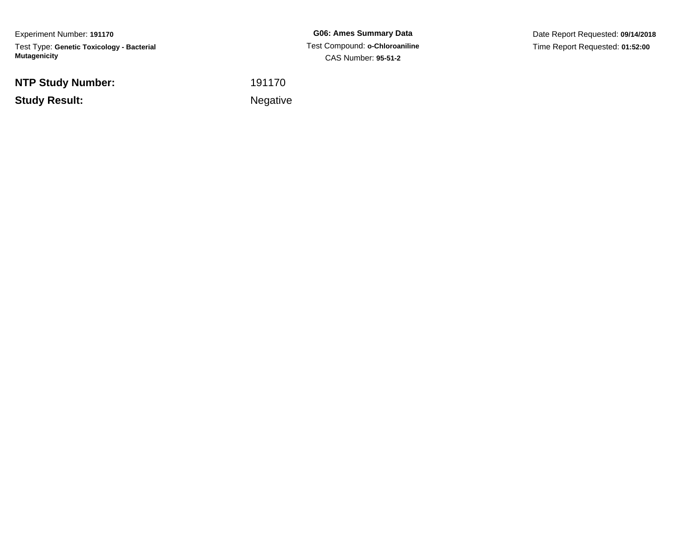Experiment Number: **191170**Test Type: **Genetic Toxicology - Bacterial Mutagenicity**

**NTP Study Number:**

**Study Result:**

**G06: Ames Summary Data** Test Compound: **o-Chloroaniline**CAS Number: **95-51-2**

Date Report Requested: **09/14/2018**Time Report Requested: **01:52:00**

<sup>191170</sup>

**Example 2** is the contract of the Negative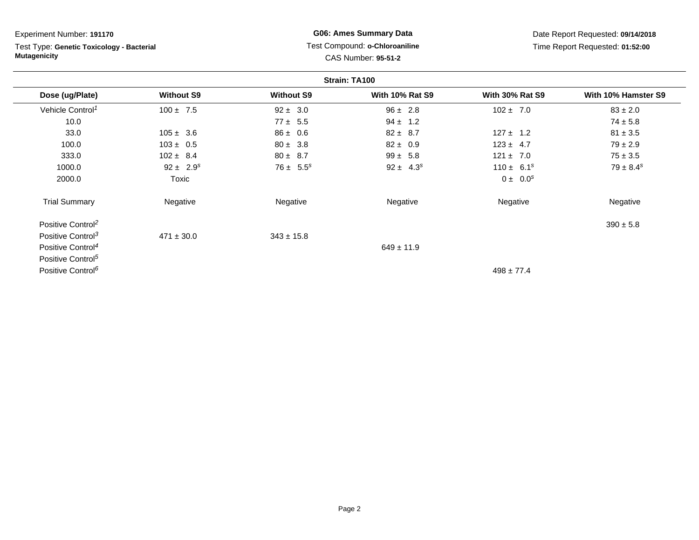Test Type: **Genetic Toxicology - Bacterial Mutagenicity**

# **G06: Ames Summary Data** Test Compound: **o-Chloroaniline**CAS Number: **95-51-2**

Date Report Requested: **09/14/2018**Time Report Requested: **01:52:00**

|                               |                   |                   | Strain: TA100          |                        |                     |
|-------------------------------|-------------------|-------------------|------------------------|------------------------|---------------------|
| Dose (ug/Plate)               | <b>Without S9</b> | <b>Without S9</b> | <b>With 10% Rat S9</b> | <b>With 30% Rat S9</b> | With 10% Hamster S9 |
| Vehicle Control <sup>1</sup>  | $100 \pm 7.5$     | $92 \pm 3.0$      | $96 \pm 2.8$           | $102 \pm 7.0$          | $83 \pm 2.0$        |
| 10.0                          |                   | $77 \pm 5.5$      | $94 \pm 1.2$           |                        | $74 \pm 5.8$        |
| 33.0                          | $105 \pm 3.6$     | $86 \pm 0.6$      | $82 \pm 8.7$           | $127 \pm 1.2$          | $81 \pm 3.5$        |
| 100.0                         | $103 \pm 0.5$     | $80 \pm 3.8$      | $82 \pm 0.9$           | $123 \pm 4.7$          | $79 \pm 2.9$        |
| 333.0                         | $102 \pm 8.4$     | $80 \pm 8.7$      | $99 \pm 5.8$           | $121 \pm 7.0$          | $75 \pm 3.5$        |
| 1000.0                        | $92 \pm 2.9^s$    | $76 \pm 5.5^s$    | $92 \pm 4.3^s$         | $110 \pm 6.1^s$        | $79 \pm 8.4^s$      |
| 2000.0                        | Toxic             |                   |                        | $0 \pm 0.0^s$          |                     |
| <b>Trial Summary</b>          | Negative          | Negative          | Negative               | Negative               | Negative            |
| Positive Control <sup>2</sup> |                   |                   |                        |                        | $390 \pm 5.8$       |
| Positive Control <sup>3</sup> | $471 \pm 30.0$    | $343 \pm 15.8$    |                        |                        |                     |
| Positive Control <sup>4</sup> |                   |                   | $649 \pm 11.9$         |                        |                     |
| Positive Control <sup>5</sup> |                   |                   |                        |                        |                     |
| Positive Control <sup>6</sup> |                   |                   |                        | $498 \pm 77.4$         |                     |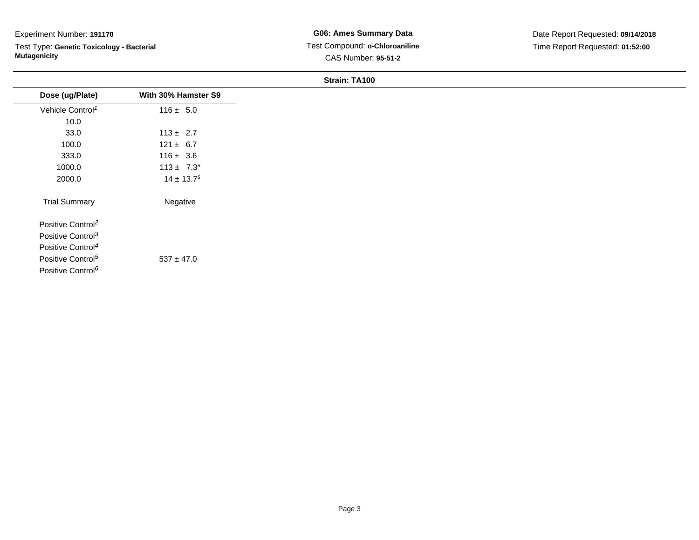Test Type: **Genetic Toxicology - Bacterial Mutagenicity**

|                               |                            | -------------- |  |
|-------------------------------|----------------------------|----------------|--|
| Dose (ug/Plate)               | With 30% Hamster S9        |                |  |
| Vehicle Control <sup>1</sup>  | $116 \pm 5.0$              |                |  |
| 10.0                          |                            |                |  |
| 33.0                          | $113 \pm 2.7$              |                |  |
| 100.0                         | $121 \pm 6.7$              |                |  |
| 333.0                         | $116 \pm 3.6$              |                |  |
| 1000.0                        | $113 \pm 7.3^s$            |                |  |
| 2000.0                        | $14 \pm 13.7$ <sup>s</sup> |                |  |
| <b>Trial Summary</b>          | Negative                   |                |  |
| Positive Control <sup>2</sup> |                            |                |  |
| Positive Control <sup>3</sup> |                            |                |  |
| Positive Control <sup>4</sup> |                            |                |  |
| Positive Control <sup>5</sup> | $537 \pm 47.0$             |                |  |
| Positive Control <sup>6</sup> |                            |                |  |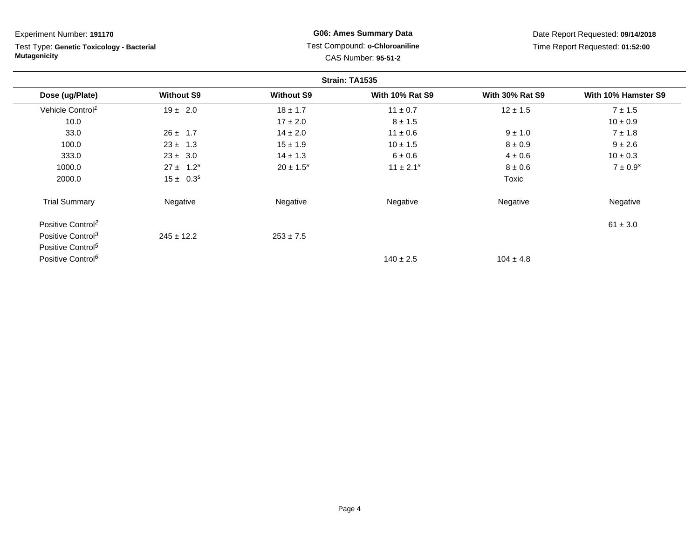| Experiment Number: 191170                                        |                   |                   | <b>G06: Ames Summary Data</b>                                |                        | Date Report Requested: 09/14/2018 |
|------------------------------------------------------------------|-------------------|-------------------|--------------------------------------------------------------|------------------------|-----------------------------------|
| Test Type: Genetic Toxicology - Bacterial<br><b>Mutagenicity</b> |                   |                   | Test Compound: o-Chloroaniline<br><b>CAS Number: 95-51-2</b> |                        | Time Report Requested: 01:52:00   |
|                                                                  |                   |                   | Strain: TA1535                                               |                        |                                   |
| Dose (ug/Plate)                                                  | <b>Without S9</b> | <b>Without S9</b> | <b>With 10% Rat S9</b>                                       | <b>With 30% Rat S9</b> | With 10% Hamster S9               |
| Vehicle Control <sup>1</sup>                                     | $19 \pm 2.0$      | $18 \pm 1.7$      | $11 \pm 0.7$                                                 | $12 \pm 1.5$           | $7 \pm 1.5$                       |
| 10.0                                                             |                   | $17 \pm 2.0$      | $8 \pm 1.5$                                                  |                        | $10 \pm 0.9$                      |
| 33.0                                                             | $26 \pm 1.7$      | $14 \pm 2.0$      | $11 \pm 0.6$                                                 | $9 \pm 1.0$            | $7 \pm 1.8$                       |
| 100.0                                                            | $23 \pm 1.3$      | $15 \pm 1.9$      | $10 \pm 1.5$                                                 | $8 \pm 0.9$            | $9 \pm 2.6$                       |
| 333.0                                                            | $23 \pm 3.0$      | $14 \pm 1.3$      | 6 ± 0.6                                                      | $4 \pm 0.6$            | $10 \pm 0.3$                      |
| 1000.0                                                           | $27 \pm 1.2^s$    | $20 \pm 1.5^s$    | $11 \pm 2.1^s$                                               | $8 \pm 0.6$            | $7 \pm 0.9^s$                     |
| 2000.0                                                           | $15 \pm 0.3^s$    |                   |                                                              | Toxic                  |                                   |
| <b>Trial Summary</b>                                             | Negative          | Negative          | Negative                                                     | Negative               | Negative                          |
| Positive Control <sup>2</sup>                                    |                   |                   |                                                              |                        | $61 \pm 3.0$                      |
| Positive Control <sup>3</sup>                                    | $245 \pm 12.2$    | $253 \pm 7.5$     |                                                              |                        |                                   |
| Positive Control <sup>5</sup>                                    |                   |                   |                                                              |                        |                                   |
| Positive Control <sup>6</sup>                                    |                   |                   | $140 \pm 2.5$                                                | $104 \pm 4.8$          |                                   |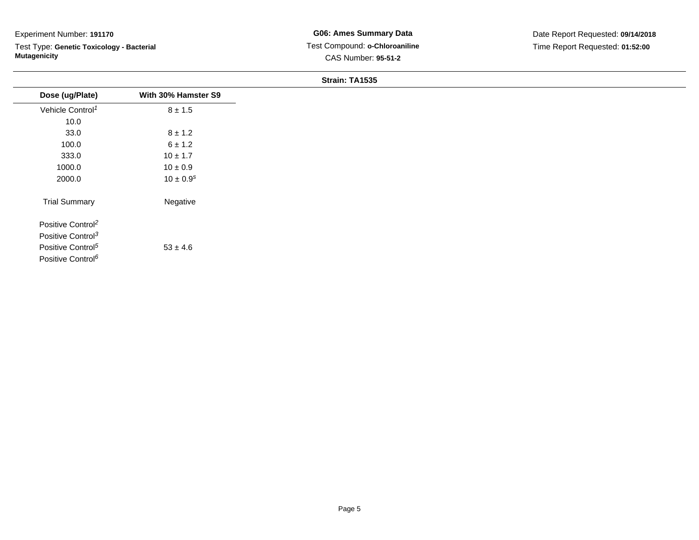Test Type: **Genetic Toxicology - Bacterial Mutagenicity**

| Dose (ug/Plate)               | With 30% Hamster S9 |
|-------------------------------|---------------------|
| Vehicle Control <sup>1</sup>  | $8 \pm 1.5$         |
| 10.0                          |                     |
| 33.0                          | $8 \pm 1.2$         |
| 100.0                         | 6 ± 1.2             |
| 333.0                         | $10 \pm 1.7$        |
| 1000.0                        | $10 \pm 0.9$        |
| 2000.0                        | $10 \pm 0.9^{s}$    |
| <b>Trial Summary</b>          | Negative            |
| Positive Control <sup>2</sup> |                     |
| Positive Control <sup>3</sup> |                     |
| Positive Control <sup>5</sup> | $53 \pm 4.6$        |
| Positive Control <sup>6</sup> |                     |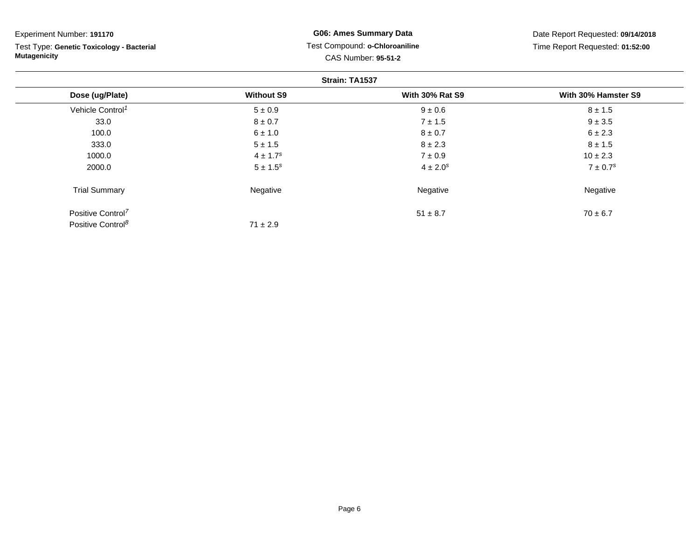| Experiment Number: 191170                                        |                          | <b>G06: Ames Summary Data</b>                         | Date Report Requested: 09/14/2018 |
|------------------------------------------------------------------|--------------------------|-------------------------------------------------------|-----------------------------------|
| Test Type: Genetic Toxicology - Bacterial<br><b>Mutagenicity</b> |                          | Test Compound: o-Chloroaniline<br>CAS Number: 95-51-2 | Time Report Requested: 01:52:00   |
|                                                                  |                          | Strain: TA1537                                        |                                   |
| Dose (ug/Plate)                                                  | <b>Without S9</b>        | <b>With 30% Rat S9</b>                                | With 30% Hamster S9               |
| Vehicle Control <sup>1</sup>                                     | $5 \pm 0.9$              | $9 \pm 0.6$                                           | $8 \pm 1.5$                       |
| 33.0                                                             | $8 \pm 0.7$              | $7 \pm 1.5$                                           | $9 \pm 3.5$                       |
| 100.0                                                            | $6 \pm 1.0$              | $8 \pm 0.7$                                           | $6 \pm 2.3$                       |
| 333.0                                                            | $5 \pm 1.5$              | $8 \pm 2.3$                                           | $8 \pm 1.5$                       |
| 1000.0                                                           | $4 \pm 1.7$ <sup>s</sup> | $7 \pm 0.9$                                           | $10 \pm 2.3$                      |
| 2000.0                                                           | $5 \pm 1.5^s$            | $4 \pm 2.0^{s}$                                       | $7 \pm 0.7$ <sup>s</sup>          |
| <b>Trial Summary</b>                                             | Negative                 | Negative                                              | Negative                          |
| Positive Control <sup>7</sup>                                    |                          | $51 \pm 8.7$                                          | $70 \pm 6.7$                      |
| Positive Control <sup>8</sup>                                    | $71 \pm 2.9$             |                                                       |                                   |

Page 6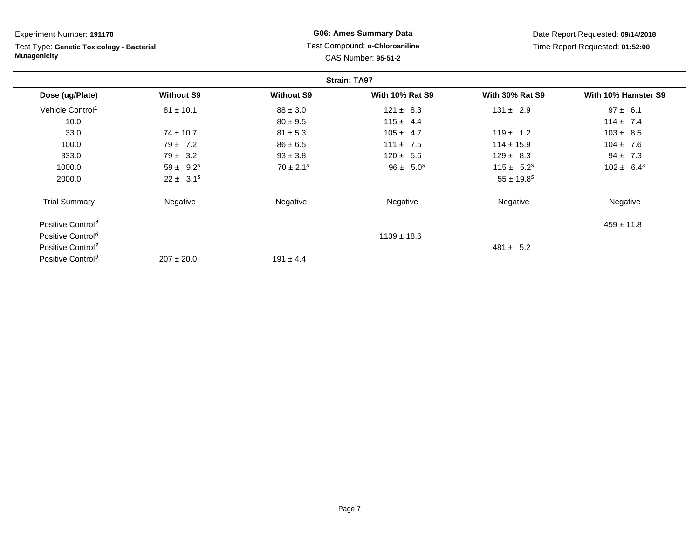| Experiment Number: 191170                                        |                   |                   | <b>G06: Ames Summary Data</b>                                |                        | Date Report Requested: 09/14/2018 |
|------------------------------------------------------------------|-------------------|-------------------|--------------------------------------------------------------|------------------------|-----------------------------------|
| Test Type: Genetic Toxicology - Bacterial<br><b>Mutagenicity</b> |                   |                   | Test Compound: o-Chloroaniline<br><b>CAS Number: 95-51-2</b> |                        | Time Report Requested: 01:52:00   |
|                                                                  |                   |                   | <b>Strain: TA97</b>                                          |                        |                                   |
| Dose (ug/Plate)                                                  | <b>Without S9</b> | <b>Without S9</b> | <b>With 10% Rat S9</b>                                       | <b>With 30% Rat S9</b> | With 10% Hamster S9               |
| Vehicle Control <sup>1</sup>                                     | $81 \pm 10.1$     | $88 \pm 3.0$      | $121 \pm 8.3$                                                | $131 \pm 2.9$          | $97 \pm 6.1$                      |
| 10.0                                                             |                   | $80 \pm 9.5$      | $115 \pm 4.4$                                                |                        | $114 \pm 7.4$                     |
| 33.0                                                             | $74 \pm 10.7$     | $81 \pm 5.3$      | $105 \pm 4.7$                                                | $119 \pm 1.2$          | $103 \pm 8.5$                     |
| 100.0                                                            | $79 \pm 7.2$      | $86 \pm 6.5$      | $111 \pm 7.5$                                                | $114 \pm 15.9$         | $104 \pm 7.6$                     |
| 333.0                                                            | $79 \pm 3.2$      | $93 \pm 3.8$      | $120 \pm 5.6$                                                | $129 \pm 8.3$          | $94 \pm 7.3$                      |
| 1000.0                                                           | $59 \pm 9.2^s$    | $70 \pm 2.1^s$    | $96 \pm 5.0^s$                                               | $115 \pm 5.2^s$        | $102 \pm 6.4^s$                   |
| 2000.0                                                           | $22 \pm 3.1^s$    |                   |                                                              | $55 \pm 19.8^s$        |                                   |
| <b>Trial Summary</b>                                             | Negative          | Negative          | Negative                                                     | Negative               | Negative                          |
| Positive Control <sup>4</sup>                                    |                   |                   |                                                              |                        | $459 \pm 11.8$                    |
| Positive Control <sup>6</sup>                                    |                   |                   | $1139 \pm 18.6$                                              |                        |                                   |
| Positive Control <sup>7</sup>                                    |                   |                   |                                                              | $481 \pm 5.2$          |                                   |
| Positive Control <sup>9</sup>                                    | $207 \pm 20.0$    | $191 \pm 4.4$     |                                                              |                        |                                   |

Page 7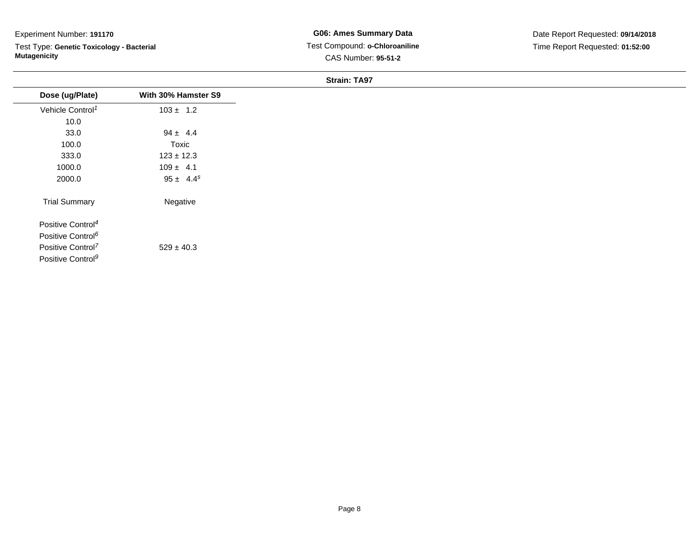Test Type: **Genetic Toxicology - Bacterial Mutagenicity**

| Dose (ug/Plate)               | With 30% Hamster S9 |
|-------------------------------|---------------------|
| Vehicle Control <sup>1</sup>  | $103 \pm 1.2$       |
| 10.0                          |                     |
| 33.0                          | $94 \pm 4.4$        |
| 100.0                         | Toxic               |
| 333.0                         | $123 \pm 12.3$      |
| 1000.0                        | $109 \pm 4.1$       |
| 2000.0                        | $95 \pm 4.4^s$      |
| <b>Trial Summary</b>          | Negative            |
| Positive Control <sup>4</sup> |                     |
| Positive Control <sup>6</sup> |                     |
| Positive Control <sup>7</sup> | $529 \pm 40.3$      |
| Positive Control <sup>9</sup> |                     |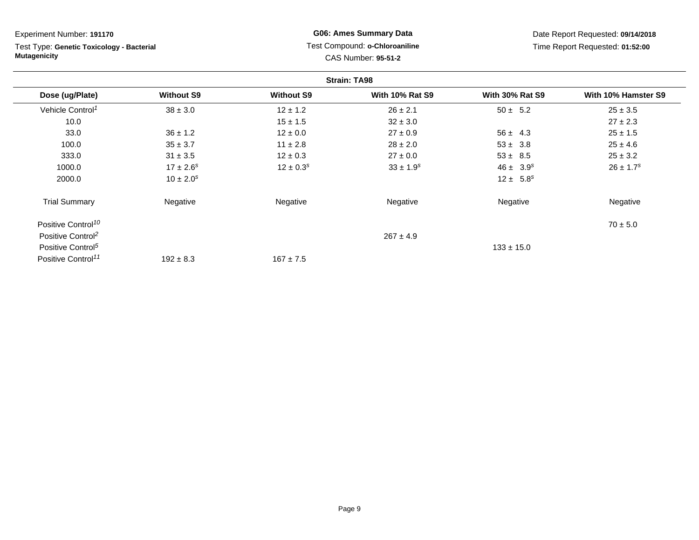**Strain: TA98Dose (ug/Plate) Without S9 Without S9 With 10% Rat S9 With 30% Rat S9 With 10% Hamster S9** Vehicle Control<sup>1</sup>  $38 \pm 3.0$ 0  $12 \pm 1.2$   $26 \pm 2.1$   $50 \pm 5.2$   $25 \pm 3.5$ 10.00  $27 \pm 2.3$ 33.00 36 ± 1.2  $12 \pm 0.0$  27 ± 0.9 56 ± 4.3 25 ± 1.5 100.00  $35 \pm 3.7$   $11 \pm 2.8$   $28 \pm 2.0$   $53 \pm 3.8$   $25 \pm 4.6$ 333.00 31 ± 3.5 12 ± 0.3 27 ± 0.0 53 ± 8.5 25 ± 3.2 1000.00  $17 \pm 2.6^s$   $12 \pm 0.3^s$   $33 \pm 1.9^s$   $46 \pm 3.9^s$   $26 \pm 1.7^s$ 2000.00  $10 \pm 2.0^s$   $12 \pm 5.8^s$ Trial Summary Negativee **Negative Regative** Negative Negative Negative Regative Negative Positive Control<sup>10</sup>  $70 \pm 5.0$ Positive Control<sup>2</sup>  $267 \pm 4.9$ Positive Control<sup>5</sup>  $133 \pm 15.0$ Positive Control<sup>11</sup> Experiment Number: **191170**Test Type: **Genetic Toxicology - BacterialMutagenicityG06: Ames Summary Data** Test Compound: **o-Chloroaniline**CAS Number: **95-51-2**Date Report Requested: **09/14/2018**Time Report Requested: **01:52:00**

 $167 \pm 7.5$ 

 $192 \pm 8.3$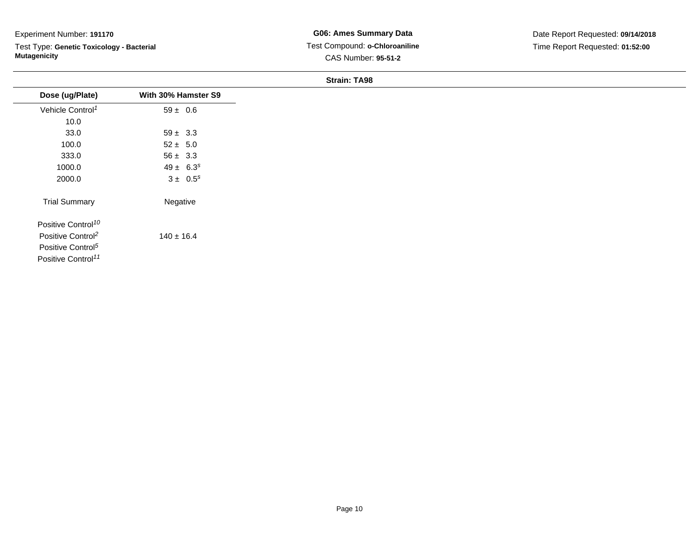Test Type: **Genetic Toxicology - Bacterial Mutagenicity**

**G06: Ames Summary Data** Test Compound: **o-Chloroaniline**CAS Number: **95-51-2**

| Dose (ug/Plate)                | With 30% Hamster S9 |
|--------------------------------|---------------------|
| Vehicle Control <sup>1</sup>   | $59 \pm 0.6$        |
| 10.0                           |                     |
| 33.0                           | $59 \pm 3.3$        |
| 100.0                          | $52 \pm 5.0$        |
| 333.0                          | $56 \pm 3.3$        |
| 1000.0                         | $49 \pm 6.3^s$      |
| 2000.0                         | $3 \pm 0.5^s$       |
| <b>Trial Summary</b>           | Negative            |
| Positive Control <sup>10</sup> |                     |
| Positive Control <sup>2</sup>  | $140 \pm 16.4$      |
| Positive Control <sup>5</sup>  |                     |
| Positive Control <sup>11</sup> |                     |